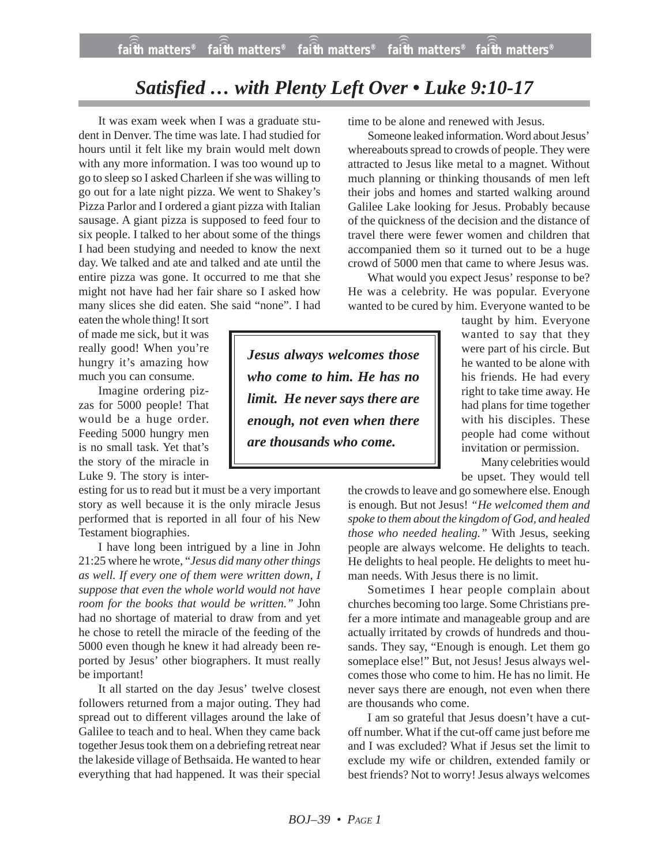## *Satisfied … with Plenty Left Over • Luke 9:10-17*

It was exam week when I was a graduate student in Denver. The time was late. I had studied for hours until it felt like my brain would melt down with any more information. I was too wound up to go to sleep so I asked Charleen if she was willing to go out for a late night pizza. We went to Shakey's Pizza Parlor and I ordered a giant pizza with Italian sausage. A giant pizza is supposed to feed four to six people. I talked to her about some of the things I had been studying and needed to know the next day. We talked and ate and talked and ate until the entire pizza was gone. It occurred to me that she might not have had her fair share so I asked how many slices she did eaten. She said "none". I had

eaten the whole thing! It sort of made me sick, but it was really good! When you're hungry it's amazing how much you can consume.

Imagine ordering pizzas for 5000 people! That would be a huge order. Feeding 5000 hungry men is no small task. Yet that's the story of the miracle in Luke 9. The story is inter-

esting for us to read but it must be a very important story as well because it is the only miracle Jesus performed that is reported in all four of his New Testament biographies.

I have long been intrigued by a line in John 21:25 where he wrote, "*Jesus did many other things as well. If every one of them were written down, I suppose that even the whole world would not have room for the books that would be written."* John had no shortage of material to draw from and yet he chose to retell the miracle of the feeding of the 5000 even though he knew it had already been reported by Jesus' other biographers. It must really be important!

It all started on the day Jesus' twelve closest followers returned from a major outing. They had spread out to different villages around the lake of Galilee to teach and to heal. When they came back together Jesus took them on a debriefing retreat near the lakeside village of Bethsaida. He wanted to hear everything that had happened. It was their special time to be alone and renewed with Jesus.

Someone leaked information. Word about Jesus' whereabouts spread to crowds of people. They were attracted to Jesus like metal to a magnet. Without much planning or thinking thousands of men left their jobs and homes and started walking around Galilee Lake looking for Jesus. Probably because of the quickness of the decision and the distance of travel there were fewer women and children that accompanied them so it turned out to be a huge crowd of 5000 men that came to where Jesus was.

What would you expect Jesus' response to be? He was a celebrity. He was popular. Everyone wanted to be cured by him. Everyone wanted to be

*Jesus always welcomes those who come to him. He has no limit. He never says there are enough, not even when there are thousands who come.*

taught by him. Everyone wanted to say that they were part of his circle. But he wanted to be alone with his friends. He had every right to take time away. He had plans for time together with his disciples. These people had come without invitation or permission.

Many celebrities would be upset. They would tell

the crowds to leave and go somewhere else. Enough is enough. But not Jesus! *"He welcomed them and spoke to them about the kingdom of God, and healed those who needed healing."* With Jesus, seeking people are always welcome. He delights to teach. He delights to heal people. He delights to meet human needs. With Jesus there is no limit.

Sometimes I hear people complain about churches becoming too large. Some Christians prefer a more intimate and manageable group and are actually irritated by crowds of hundreds and thousands. They say, "Enough is enough. Let them go someplace else!" But, not Jesus! Jesus always welcomes those who come to him. He has no limit. He never says there are enough, not even when there are thousands who come.

I am so grateful that Jesus doesn't have a cutoff number. What if the cut-off came just before me and I was excluded? What if Jesus set the limit to exclude my wife or children, extended family or best friends? Not to worry! Jesus always welcomes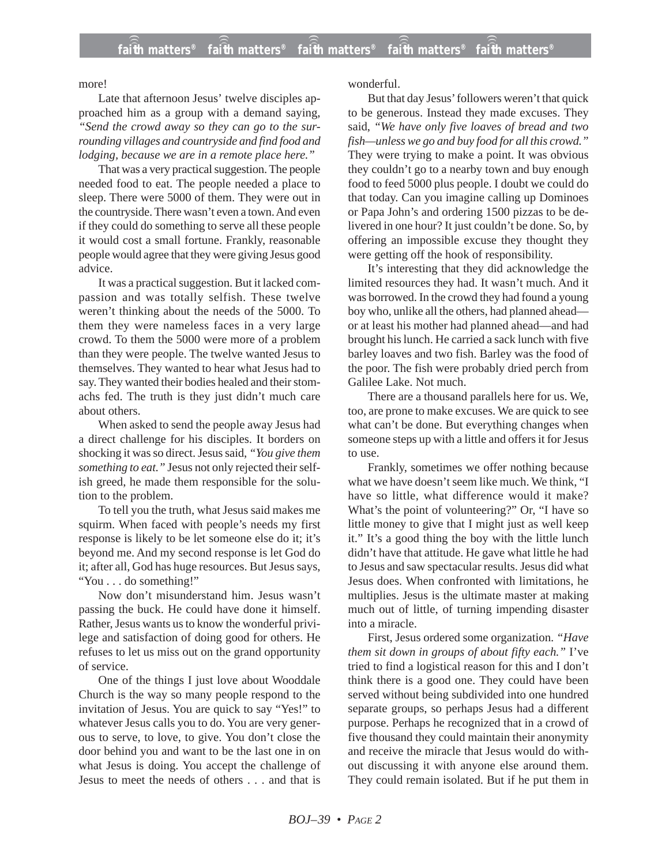more!

Late that afternoon Jesus' twelve disciples approached him as a group with a demand saying, *"Send the crowd away so they can go to the surrounding villages and countryside and find food and lodging, because we are in a remote place here."*

That was a very practical suggestion. The people needed food to eat. The people needed a place to sleep. There were 5000 of them. They were out in the countryside. There wasn't even a town. And even if they could do something to serve all these people it would cost a small fortune. Frankly, reasonable people would agree that they were giving Jesus good advice.

It was a practical suggestion. But it lacked compassion and was totally selfish. These twelve weren't thinking about the needs of the 5000. To them they were nameless faces in a very large crowd. To them the 5000 were more of a problem than they were people. The twelve wanted Jesus to themselves. They wanted to hear what Jesus had to say. They wanted their bodies healed and their stomachs fed. The truth is they just didn't much care about others.

When asked to send the people away Jesus had a direct challenge for his disciples. It borders on shocking it was so direct. Jesus said, *"You give them something to eat."* Jesus not only rejected their selfish greed, he made them responsible for the solution to the problem.

To tell you the truth, what Jesus said makes me squirm. When faced with people's needs my first response is likely to be let someone else do it; it's beyond me. And my second response is let God do it; after all, God has huge resources. But Jesus says, "You . . . do something!"

Now don't misunderstand him. Jesus wasn't passing the buck. He could have done it himself. Rather, Jesus wants us to know the wonderful privilege and satisfaction of doing good for others. He refuses to let us miss out on the grand opportunity of service.

One of the things I just love about Wooddale Church is the way so many people respond to the invitation of Jesus. You are quick to say "Yes!" to whatever Jesus calls you to do. You are very generous to serve, to love, to give. You don't close the door behind you and want to be the last one in on what Jesus is doing. You accept the challenge of Jesus to meet the needs of others . . . and that is wonderful.

But that day Jesus' followers weren't that quick to be generous. Instead they made excuses. They said, *"We have only five loaves of bread and two fish—unless we go and buy food for all this crowd."* They were trying to make a point. It was obvious they couldn't go to a nearby town and buy enough food to feed 5000 plus people. I doubt we could do that today. Can you imagine calling up Dominoes or Papa John's and ordering 1500 pizzas to be delivered in one hour? It just couldn't be done. So, by offering an impossible excuse they thought they were getting off the hook of responsibility.

It's interesting that they did acknowledge the limited resources they had. It wasn't much. And it was borrowed. In the crowd they had found a young boy who, unlike all the others, had planned ahead or at least his mother had planned ahead—and had brought his lunch. He carried a sack lunch with five barley loaves and two fish. Barley was the food of the poor. The fish were probably dried perch from Galilee Lake. Not much.

There are a thousand parallels here for us. We, too, are prone to make excuses. We are quick to see what can't be done. But everything changes when someone steps up with a little and offers it for Jesus to use.

Frankly, sometimes we offer nothing because what we have doesn't seem like much. We think, "I have so little, what difference would it make? What's the point of volunteering?" Or, "I have so little money to give that I might just as well keep it." It's a good thing the boy with the little lunch didn't have that attitude. He gave what little he had to Jesus and saw spectacular results. Jesus did what Jesus does. When confronted with limitations, he multiplies. Jesus is the ultimate master at making much out of little, of turning impending disaster into a miracle.

First, Jesus ordered some organization. *"Have them sit down in groups of about fifty each."* I've tried to find a logistical reason for this and I don't think there is a good one. They could have been served without being subdivided into one hundred separate groups, so perhaps Jesus had a different purpose. Perhaps he recognized that in a crowd of five thousand they could maintain their anonymity and receive the miracle that Jesus would do without discussing it with anyone else around them. They could remain isolated. But if he put them in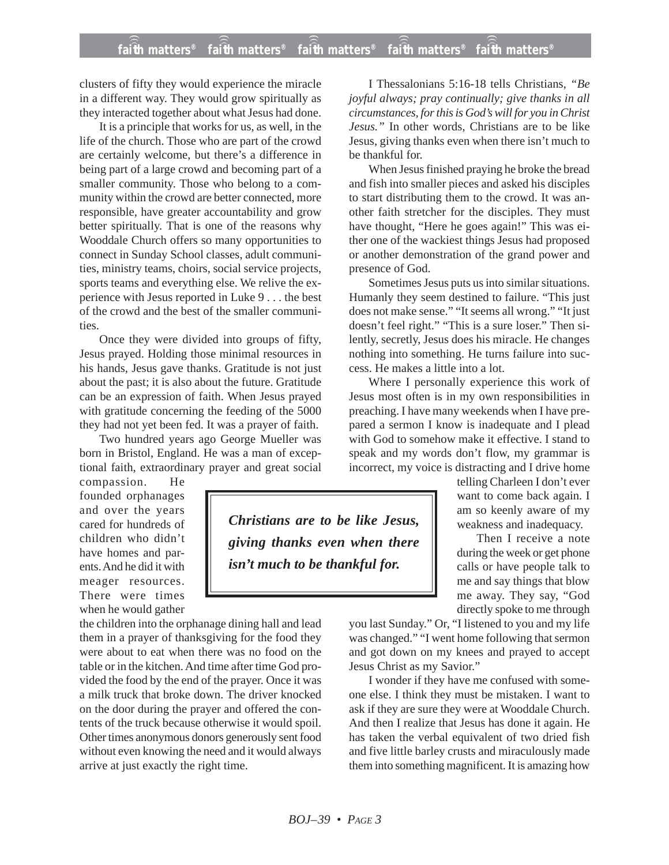## **faith matters® faith matters® faith matters® faith matters® faith matters®** ))) ))) ))) ))) )))

clusters of fifty they would experience the miracle in a different way. They would grow spiritually as they interacted together about what Jesus had done.

It is a principle that works for us, as well, in the life of the church. Those who are part of the crowd are certainly welcome, but there's a difference in being part of a large crowd and becoming part of a smaller community. Those who belong to a community within the crowd are better connected, more responsible, have greater accountability and grow better spiritually. That is one of the reasons why Wooddale Church offers so many opportunities to connect in Sunday School classes, adult communities, ministry teams, choirs, social service projects, sports teams and everything else. We relive the experience with Jesus reported in Luke 9 . . . the best of the crowd and the best of the smaller communities.

Once they were divided into groups of fifty, Jesus prayed. Holding those minimal resources in his hands, Jesus gave thanks. Gratitude is not just about the past; it is also about the future. Gratitude can be an expression of faith. When Jesus prayed with gratitude concerning the feeding of the 5000 they had not yet been fed. It was a prayer of faith.

Two hundred years ago George Mueller was born in Bristol, England. He was a man of exceptional faith, extraordinary prayer and great social

compassion. He founded orphanages and over the years cared for hundreds of children who didn't have homes and parents. And he did it with meager resources. There were times when he would gather

the children into the orphanage dining hall and lead them in a prayer of thanksgiving for the food they were about to eat when there was no food on the table or in the kitchen. And time after time God provided the food by the end of the prayer. Once it was a milk truck that broke down. The driver knocked on the door during the prayer and offered the contents of the truck because otherwise it would spoil. Other times anonymous donors generously sent food without even knowing the need and it would always arrive at just exactly the right time.

I Thessalonians 5:16-18 tells Christians, *"Be joyful always; pray continually; give thanks in all circumstances, for this is God's will for you in Christ Jesus."* In other words, Christians are to be like Jesus, giving thanks even when there isn't much to be thankful for.

When Jesus finished praying he broke the bread and fish into smaller pieces and asked his disciples to start distributing them to the crowd. It was another faith stretcher for the disciples. They must have thought, "Here he goes again!" This was either one of the wackiest things Jesus had proposed or another demonstration of the grand power and presence of God.

Sometimes Jesus puts us into similar situations. Humanly they seem destined to failure. "This just does not make sense." "It seems all wrong." "It just doesn't feel right." "This is a sure loser." Then silently, secretly, Jesus does his miracle. He changes nothing into something. He turns failure into success. He makes a little into a lot.

Where I personally experience this work of Jesus most often is in my own responsibilities in preaching. I have many weekends when I have prepared a sermon I know is inadequate and I plead with God to somehow make it effective. I stand to speak and my words don't flow, my grammar is incorrect, my voice is distracting and I drive home

> telling Charleen I don't ever want to come back again. I am so keenly aware of my weakness and inadequacy.

Then I receive a note during the week or get phone calls or have people talk to me and say things that blow me away. They say, "God directly spoke to me through

you last Sunday." Or, "I listened to you and my life was changed." "I went home following that sermon and got down on my knees and prayed to accept Jesus Christ as my Savior."

I wonder if they have me confused with someone else. I think they must be mistaken. I want to ask if they are sure they were at Wooddale Church. And then I realize that Jesus has done it again. He has taken the verbal equivalent of two dried fish and five little barley crusts and miraculously made them into something magnificent. It is amazing how

*Christians are to be like Jesus,*

*giving thanks even when there*

*isn't much to be thankful for.*